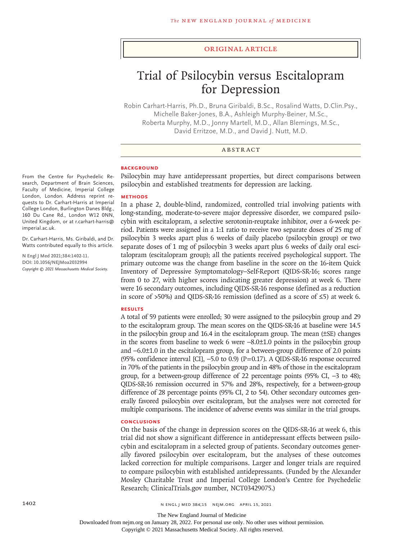### Original Article

# Trial of Psilocybin versus Escitalopram for Depression

Robin Carhart-Harris, Ph.D., Bruna Giribaldi, B.Sc., Rosalind Watts, D.Clin.Psy., Michelle Baker-Jones, B.A., Ashleigh Murphy-Beiner, M.Sc., Roberta Murphy, M.D., Jonny Martell, M.D., Allan Blemings, M.Sc., David Erritzoe, M.D., and David J. Nutt, M.D.

## ABSTRACT

## **BACKGROUND**

Psilocybin may have antidepressant properties, but direct comparisons between psilocybin and established treatments for depression are lacking.

#### **METHODS**

In a phase 2, double-blind, randomized, controlled trial involving patients with long-standing, moderate-to-severe major depressive disorder, we compared psilocybin with escitalopram, a selective serotonin-reuptake inhibitor, over a 6-week period. Patients were assigned in a 1:1 ratio to receive two separate doses of 25 mg of psilocybin 3 weeks apart plus 6 weeks of daily placebo (psilocybin group) or two separate doses of 1 mg of psilocybin 3 weeks apart plus 6 weeks of daily oral escitalopram (escitalopram group); all the patients received psychological support. The primary outcome was the change from baseline in the score on the 16-item Quick Inventory of Depressive Symptomatology–Self-Report (QIDS-SR-16; scores range from 0 to 27, with higher scores indicating greater depression) at week 6. There were 16 secondary outcomes, including QIDS-SR-16 response (defined as a reduction in score of >50%) and QIDS-SR-16 remission (defined as a score of ≤5) at week 6.

#### **RESULTS**

A total of 59 patients were enrolled; 30 were assigned to the psilocybin group and 29 to the escitalopram group. The mean scores on the QIDS-SR-16 at baseline were 14.5 in the psilocybin group and 16.4 in the escitalopram group. The mean (±SE) changes in the scores from baseline to week 6 were −8.0±1.0 points in the psilocybin group and −6.0±1.0 in the escitalopram group, for a between-group difference of 2.0 points (95% confidence interval [CI], −5.0 to 0.9) (P=0.17). A QIDS-SR-16 response occurred in 70% of the patients in the psilocybin group and in 48% of those in the escitalopram group, for a between-group difference of 22 percentage points (95% CI, −3 to 48); QIDS-SR-16 remission occurred in 57% and 28%, respectively, for a between-group difference of 28 percentage points (95% CI, 2 to 54). Other secondary outcomes generally favored psilocybin over escitalopram, but the analyses were not corrected for multiple comparisons. The incidence of adverse events was similar in the trial groups.

# **CONCLUSIONS**

On the basis of the change in depression scores on the QIDS-SR-16 at week 6, this trial did not show a significant difference in antidepressant effects between psilocybin and escitalopram in a selected group of patients. Secondary outcomes generally favored psilocybin over escitalopram, but the analyses of these outcomes lacked correction for multiple comparisons. Larger and longer trials are required to compare psilocybin with established antidepressants. (Funded by the Alexander Mosley Charitable Trust and Imperial College London's Centre for Psychedelic Research; ClinicalTrials.gov number, NCT03429075.)

From the Centre for Psychedelic Research, Department of Brain Sciences, Faculty of Medicine, Imperial College London, London. Address reprint requests to Dr. Carhart-Harris at Imperial College London, Burlington Danes Bldg., 160 Du Cane Rd., London W12 0NN, United Kingdom, or at r.carhart-harris@ imperial.ac.uk.

Dr. Carhart-Harris, Ms. Giribaldi, and Dr. Watts contributed equally to this article.

**N Engl J Med 2021;384:1402-11. DOI: 10.1056/NEJMoa2032994** *Copyright © 2021 Massachusetts Medical Society.*

The New England Journal of Medicine

Downloaded from nejm.org on January 28, 2022. For personal use only. No other uses without permission.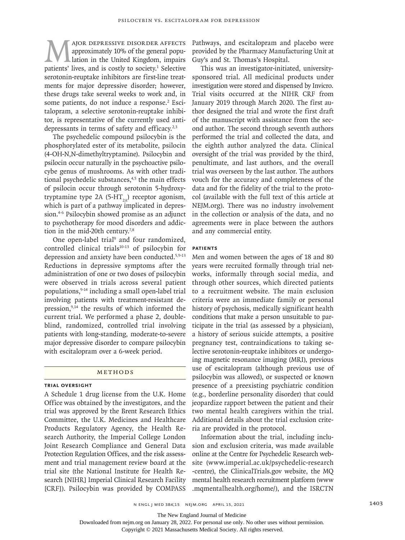MAJOR DEPRESSIVE DISORDER AFFECTS<br>approximately 10% of the general population in the United Kingdom, impairs<br>patients' lives, and is costly to society.<sup>1</sup> Selective approximately 10% of the general population in the United Kingdom, impairs patients' lives, and is costly to society.<sup>1</sup> Selective serotonin-reuptake inhibitors are first-line treatments for major depressive disorder; however, these drugs take several weeks to work and, in some patients, do not induce a response.<sup>2</sup> Escitalopram, a selective serotonin-reuptake inhibitor, is representative of the currently used antidepressants in terms of safety and efficacy.<sup>2,3</sup>

The psychedelic compound psilocybin is the phosphorylated ester of its metabolite, psilocin (4-OH-N,N-dimethyltryptamine). Psilocybin and psilocin occur naturally in the psychoactive psilocybe genus of mushrooms. As with other traditional psychedelic substances, $4,5$  the main effects of psilocin occur through serotonin 5-hydroxytryptamine type 2A (5-HT<sub>2A</sub>) receptor agonism, which is part of a pathway implicated in depression.4-6 Psilocybin showed promise as an adjunct to psychotherapy for mood disorders and addiction in the mid-20th century.<sup>7,8</sup>

One open-label trial<sup>9</sup> and four randomized, controlled clinical trials<sup>10-13</sup> of psilocybin for depression and anxiety have been conducted.5,9-13 Reductions in depressive symptoms after the administration of one or two doses of psilocybin were observed in trials across several patient populations,9-14 including a small open-label trial involving patients with treatment-resistant depression,<sup>9,14</sup> the results of which informed the current trial. We performed a phase 2, doubleblind, randomized, controlled trial involving patients with long-standing, moderate-to-severe major depressive disorder to compare psilocybin with escitalopram over a 6-week period.

# Methods

# **Trial Oversight**

A Schedule 1 drug license from the U.K. Home Office was obtained by the investigators, and the trial was approved by the Brent Research Ethics Committee, the U.K. Medicines and Healthcare Products Regulatory Agency, the Health Research Authority, the Imperial College London Joint Research Compliance and General Data Protection Regulation Offices, and the risk assessment and trial management review board at the trial site (the National Institute for Health Research [NIHR] Imperial Clinical Research Facility [CRF]). Psilocybin was provided by COMPASS

Pathways, and escitalopram and placebo were provided by the Pharmacy Manufacturing Unit at Guy's and St. Thomas's Hospital.

This was an investigator-initiated, universitysponsored trial. All medicinal products under investigation were stored and dispensed by Invicro. Trial visits occurred at the NIHR CRF from January 2019 through March 2020. The first author designed the trial and wrote the first draft of the manuscript with assistance from the second author. The second through seventh authors performed the trial and collected the data, and the eighth author analyzed the data. Clinical oversight of the trial was provided by the third, penultimate, and last authors, and the overall trial was overseen by the last author. The authors vouch for the accuracy and completeness of the data and for the fidelity of the trial to the protocol (available with the full text of this article at NEJM.org). There was no industry involvement in the collection or analysis of the data, and no agreements were in place between the authors and any commercial entity.

# **Patients**

Men and women between the ages of 18 and 80 years were recruited formally through trial networks, informally through social media, and through other sources, which directed patients to a recruitment website. The main exclusion criteria were an immediate family or personal history of psychosis, medically significant health conditions that make a person unsuitable to participate in the trial (as assessed by a physician), a history of serious suicide attempts, a positive pregnancy test, contraindications to taking selective serotonin-reuptake inhibitors or undergoing magnetic resonance imaging (MRI), previous use of escitalopram (although previous use of psilocybin was allowed), or suspected or known presence of a preexisting psychiatric condition (e.g., borderline personality disorder) that could jeopardize rapport between the patient and their two mental health caregivers within the trial. Additional details about the trial exclusion criteria are provided in the protocol.

Information about the trial, including inclusion and exclusion criteria, was made available online at the Centre for Psychedelic Research website (www.imperial.ac.uk/psychedelic-research -centre), the ClinicalTrials.gov website, the MQ mental health research recruitment platform (www .mqmentalhealth.org/home/), and the ISRCTN

The New England Journal of Medicine

Downloaded from nejm.org on January 28, 2022. For personal use only. No other uses without permission.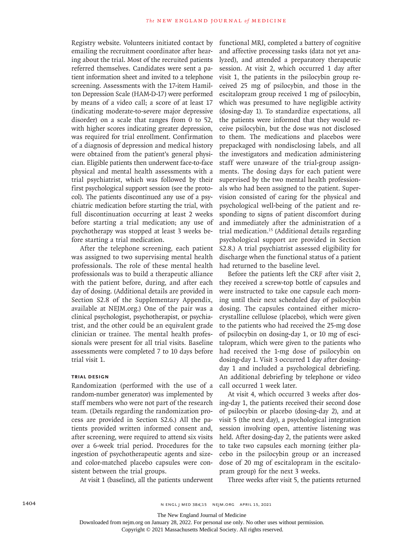Registry website. Volunteers initiated contact by emailing the recruitment coordinator after hearing about the trial. Most of the recruited patients referred themselves. Candidates were sent a patient information sheet and invited to a telephone screening. Assessments with the 17-item Hamilton Depression Scale (HAM-D-17) were performed by means of a video call; a score of at least 17 (indicating moderate-to-severe major depressive disorder) on a scale that ranges from 0 to 52, with higher scores indicating greater depression, was required for trial enrollment. Confirmation of a diagnosis of depression and medical history were obtained from the patient's general physician. Eligible patients then underwent face-to-face physical and mental health assessments with a trial psychiatrist, which was followed by their first psychological support session (see the protocol). The patients discontinued any use of a psychiatric medication before starting the trial, with full discontinuation occurring at least 2 weeks before starting a trial medication; any use of psychotherapy was stopped at least 3 weeks before starting a trial medication.

After the telephone screening, each patient was assigned to two supervising mental health professionals. The role of these mental health professionals was to build a therapeutic alliance with the patient before, during, and after each day of dosing. (Additional details are provided in Section S2.8 of the Supplementary Appendix, available at NEJM.org.) One of the pair was a clinical psychologist, psychotherapist, or psychiatrist, and the other could be an equivalent grade clinician or trainee. The mental health professionals were present for all trial visits. Baseline assessments were completed 7 to 10 days before trial visit 1.

# **Trial Design**

Randomization (performed with the use of a random-number generator) was implemented by staff members who were not part of the research team. (Details regarding the randomization process are provided in Section S2.6.) All the patients provided written informed consent and, after screening, were required to attend six visits over a 6-week trial period. Procedures for the ingestion of psychotherapeutic agents and sizeand color-matched placebo capsules were consistent between the trial groups.

At visit 1 (baseline), all the patients underwent

functional MRI, completed a battery of cognitive and affective processing tasks (data not yet analyzed), and attended a preparatory therapeutic session. At visit 2, which occurred 1 day after visit 1, the patients in the psilocybin group received 25 mg of psilocybin, and those in the escitalopram group received 1 mg of psilocybin, which was presumed to have negligible activity (dosing-day 1). To standardize expectations, all the patients were informed that they would receive psilocybin, but the dose was not disclosed to them. The medications and placebos were prepackaged with nondisclosing labels, and all the investigators and medication administering staff were unaware of the trial-group assignments. The dosing days for each patient were supervised by the two mental health professionals who had been assigned to the patient. Supervision consisted of caring for the physical and psychological well-being of the patient and responding to signs of patient discomfort during and immediately after the administration of a trial medication.15 (Additional details regarding psychological support are provided in Section S2.8.) A trial psychiatrist assessed eligibility for discharge when the functional status of a patient had returned to the baseline level.

Before the patients left the CRF after visit 2, they received a screw-top bottle of capsules and were instructed to take one capsule each morning until their next scheduled day of psilocybin dosing. The capsules contained either microcrystalline cellulose (placebo), which were given to the patients who had received the 25-mg dose of psilocybin on dosing-day 1, or 10 mg of escitalopram, which were given to the patients who had received the 1-mg dose of psilocybin on dosing-day 1. Visit 3 occurred 1 day after dosingday 1 and included a psychological debriefing. An additional debriefing by telephone or video call occurred 1 week later.

At visit 4, which occurred 3 weeks after dosing-day 1, the patients received their second dose of psilocybin or placebo (dosing-day 2), and at visit 5 (the next day), a psychological integration session involving open, attentive listening was held. After dosing-day 2, the patients were asked to take two capsules each morning (either placebo in the psilocybin group or an increased dose of 20 mg of escitalopram in the escitalopram group) for the next 3 weeks.

Three weeks after visit 5, the patients returned

The New England Journal of Medicine

Downloaded from nejm.org on January 28, 2022. For personal use only. No other uses without permission.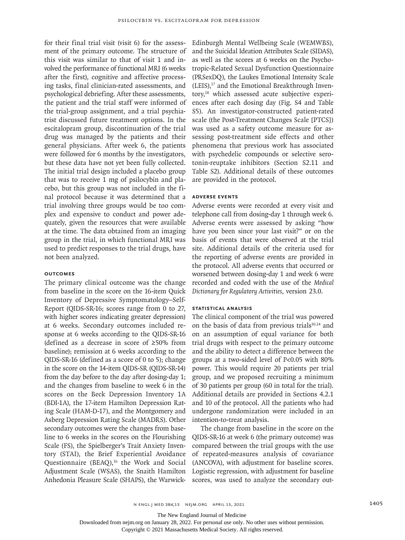for their final trial visit (visit 6) for the assessment of the primary outcome. The structure of this visit was similar to that of visit 1 and involved the performance of functional MRI (6 weeks after the first), cognitive and affective processing tasks, final clinician-rated assessments, and psychological debriefing. After these assessments, the patient and the trial staff were informed of the trial-group assignment, and a trial psychiatrist discussed future treatment options. In the escitalopram group, discontinuation of the trial drug was managed by the patients and their general physicians. After week 6, the patients were followed for 6 months by the investigators, but these data have not yet been fully collected. The initial trial design included a placebo group that was to receive 1 mg of psilocybin and placebo, but this group was not included in the final protocol because it was determined that a trial involving three groups would be too complex and expensive to conduct and power adequately, given the resources that were available at the time. The data obtained from an imaging group in the trial, in which functional MRI was used to predict responses to the trial drugs, have not been analyzed.

# **Outcomes**

The primary clinical outcome was the change from baseline in the score on the 16-item Quick Inventory of Depressive Symptomatology–Self-Report (QIDS-SR-16; scores range from 0 to 27, with higher scores indicating greater depression) at 6 weeks. Secondary outcomes included response at 6 weeks according to the QIDS-SR-16 (defined as a decrease in score of ≥50% from baseline); remission at 6 weeks according to the QIDS-SR-16 (defined as a score of 0 to 5); change in the score on the 14-item QIDS-SR (QIDS-SR-14) from the day before to the day after dosing-day 1; and the changes from baseline to week 6 in the scores on the Beck Depression Inventory 1A (BDI-1A), the 17-item Hamilton Depression Rating Scale (HAM-D-17), and the Montgomery and Asberg Depression Rating Scale (MADRS). Other secondary outcomes were the changes from baseline to 6 weeks in the scores on the Flourishing Scale (FS), the Spielberger's Trait Anxiety Inventory (STAI), the Brief Experiential Avoidance Questionnaire (BEAQ),<sup>16</sup> the Work and Social Adjustment Scale (WSAS), the Snaith Hamilton Anhedonia Pleasure Scale (SHAPS), the Warwick-

Edinburgh Mental Wellbeing Scale (WEMWBS), and the Suicidal Ideation Attributes Scale (SIDAS), as well as the scores at 6 weeks on the Psychotropic-Related Sexual Dysfunction Questionnaire (PRSexDQ), the Laukes Emotional Intensity Scale (LEIS),17 and the Emotional Breakthrough Inventory,18 which assessed acute subjective experiences after each dosing day (Fig. S4 and Table S5). An investigator-constructed patient-rated scale (the Post-Treatment Changes Scale [PTCS]) was used as a safety outcome measure for assessing post-treatment side effects and other phenomena that previous work has associated with psychedelic compounds or selective serotonin-reuptake inhibitors (Section S2.11 and Table S2). Additional details of these outcomes are provided in the protocol.

## **Adverse Events**

Adverse events were recorded at every visit and telephone call from dosing-day 1 through week 6. Adverse events were assessed by asking "how have you been since your last visit?" or on the basis of events that were observed at the trial site. Additional details of the criteria used for the reporting of adverse events are provided in the protocol. All adverse events that occurred or worsened between dosing-day 1 and week 6 were recorded and coded with the use of the *Medical Dictionary for Regulatory Activities*, version 23.0.

## **Statistical Analysis**

The clinical component of the trial was powered on the basis of data from previous trials $10,14$  and on an assumption of equal variance for both trial drugs with respect to the primary outcome and the ability to detect a difference between the groups at a two-sided level of P<0.05 with 80% power. This would require 20 patients per trial group, and we proposed recruiting a minimum of 30 patients per group (60 in total for the trial). Additional details are provided in Sections 4.2.1 and 10 of the protocol. All the patients who had undergone randomization were included in an intention-to-treat analysis.

The change from baseline in the score on the QIDS-SR-16 at week 6 (the primary outcome) was compared between the trial groups with the use of repeated-measures analysis of covariance (ANCOVA), with adjustment for baseline scores. Logistic regression, with adjustment for baseline scores, was used to analyze the secondary out-

The New England Journal of Medicine

Downloaded from nejm.org on January 28, 2022. For personal use only. No other uses without permission.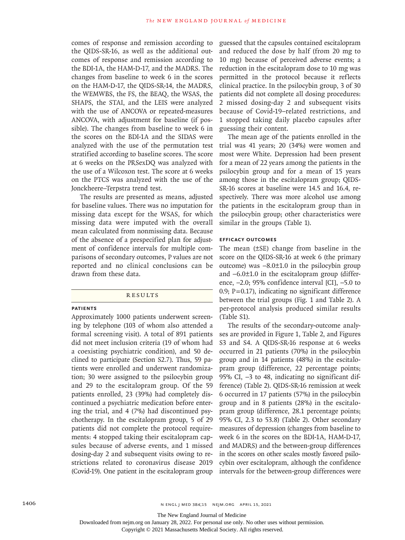comes of response and remission according to the QIDS-SR-16, as well as the additional outcomes of response and remission according to the BDI-1A, the HAM-D-17, and the MADRS. The changes from baseline to week 6 in the scores on the HAM-D-17, the QIDS-SR-14, the MADRS, the WEMWBS, the FS, the BEAQ, the WSAS, the SHAPS, the STAI, and the LEIS were analyzed with the use of ANCOVA or repeated-measures ANCOVA, with adjustment for baseline (if possible). The changes from baseline to week 6 in the scores on the BDI-1A and the SIDAS were analyzed with the use of the permutation test stratified according to baseline scores. The score at 6 weeks on the PRSexDQ was analyzed with the use of a Wilcoxon test. The score at 6 weeks on the PTCS was analyzed with the use of the Jonckheere–Terpstra trend test.

The results are presented as means, adjusted for baseline values. There was no imputation for missing data except for the WSAS, for which missing data were imputed with the overall mean calculated from nonmissing data. Because of the absence of a prespecified plan for adjustment of confidence intervals for multiple comparisons of secondary outcomes, P values are not reported and no clinical conclusions can be drawn from these data.

#### **RESULTS**

#### **Patients**

Approximately 1000 patients underwent screening by telephone (103 of whom also attended a formal screening visit). A total of 891 patients did not meet inclusion criteria (19 of whom had a coexisting psychiatric condition), and 50 declined to participate (Section S2.7). Thus, 59 patients were enrolled and underwent randomization; 30 were assigned to the psilocybin group and 29 to the escitalopram group. Of the 59 patients enrolled, 23 (39%) had completely discontinued a psychiatric medication before entering the trial, and 4 (7%) had discontinued psychotherapy. In the escitalopram group, 5 of 29 patients did not complete the protocol requirements: 4 stopped taking their escitalopram capsules because of adverse events, and 1 missed dosing-day 2 and subsequent visits owing to restrictions related to coronavirus disease 2019 (Covid-19). One patient in the escitalopram group

guessed that the capsules contained escitalopram and reduced the dose by half (from 20 mg to 10 mg) because of perceived adverse events; a reduction in the escitalopram dose to 10 mg was permitted in the protocol because it reflects clinical practice. In the psilocybin group, 3 of 30 patients did not complete all dosing procedures: 2 missed dosing-day 2 and subsequent visits because of Covid-19–related restrictions, and 1 stopped taking daily placebo capsules after guessing their content.

The mean age of the patients enrolled in the trial was 41 years; 20 (34%) were women and most were White. Depression had been present for a mean of 22 years among the patients in the psilocybin group and for a mean of 15 years among those in the escitalopram group; QIDS-SR-16 scores at baseline were 14.5 and 16.4, respectively. There was more alcohol use among the patients in the escitalopram group than in the psilocybin group; other characteristics were similar in the groups (Table 1).

## **Efficacy Outcomes**

The mean (±SE) change from baseline in the score on the QIDS-SR-16 at week 6 (the primary outcome) was −8.0±1.0 in the psilocybin group and −6.0±1.0 in the escitalopram group (difference, −2.0; 95% confidence interval [CI], −5.0 to 0.9;  $P=0.17$ ), indicating no significant difference between the trial groups (Fig. 1 and Table 2). A per-protocol analysis produced similar results (Table S1).

The results of the secondary-outcome analyses are provided in Figure 1, Table 2, and Figures S3 and S4. A QIDS-SR-16 response at 6 weeks occurred in 21 patients (70%) in the psilocybin group and in 14 patients (48%) in the escitalopram group (difference, 22 percentage points; 95% CI,  $-3$  to 48, indicating no significant difference) (Table 2). QIDS-SR-16 remission at week 6 occurred in 17 patients (57%) in the psilocybin group and in 8 patients (28%) in the escitalopram group (difference, 28.1 percentage points; 95% CI, 2.3 to 53.8) (Table 2). Other secondary measures of depression (changes from baseline to week 6 in the scores on the BDI-1A, HAM-D-17, and MADRS) and the between-group differences in the scores on other scales mostly favored psilocybin over escitalopram, although the confidence intervals for the between-group differences were

The New England Journal of Medicine

Downloaded from nejm.org on January 28, 2022. For personal use only. No other uses without permission.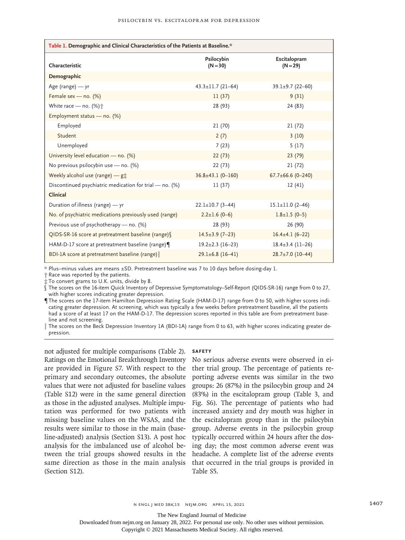| Table 1. Demographic and Clinical Characteristics of the Patients at Baseline.* |                           |                            |  |  |  |  |
|---------------------------------------------------------------------------------|---------------------------|----------------------------|--|--|--|--|
| Characteristic                                                                  | Psilocybin<br>$(N = 30)$  | Escitalopram<br>$(N = 29)$ |  |  |  |  |
| Demographic                                                                     |                           |                            |  |  |  |  |
| Age (range) $-$ yr                                                              | $43.3 \pm 11.7$ (21-64)   | $39.1 \pm 9.7$ (22-60)     |  |  |  |  |
| Female sex - no. (%)                                                            | 11(37)                    | 9(31)                      |  |  |  |  |
| White race - no. (%) <sup>+</sup>                                               | 28 (93)                   | 24 (83)                    |  |  |  |  |
| Employment status - no. (%)                                                     |                           |                            |  |  |  |  |
| Employed                                                                        | 21(70)                    | 21(72)                     |  |  |  |  |
| Student                                                                         | 2(7)                      | 3(10)                      |  |  |  |  |
| Unemployed                                                                      | 7(23)                     | 5(17)                      |  |  |  |  |
| University level education - no. (%)                                            | 22(73)                    | 23(79)                     |  |  |  |  |
| No previous psilocybin use - no. (%)                                            | 22 (73)                   | 21(72)                     |  |  |  |  |
| Weekly alcohol use (range) - $g\ddagger$                                        | $36.8 \pm 43.1 (0 - 160)$ | $67.7 \pm 66.6$ (0-240)    |  |  |  |  |
| Discontinued psychiatric medication for trial - no. (%)                         | 11(37)                    | 12(41)                     |  |  |  |  |
| Clinical                                                                        |                           |                            |  |  |  |  |
| Duration of illness (range) - yr                                                | $22.1 \pm 10.7$ (3-44)    | $15.1 \pm 11.0$ (2-46)     |  |  |  |  |
| No. of psychiatric medications previously used (range)                          | $2.2 \pm 1.6$ (0-6)       | $1.8 \pm 1.5$ (0-5)        |  |  |  |  |
| Previous use of psychotherapy - no. (%)                                         | 28 (93)                   | 26 (90)                    |  |  |  |  |
| QIDS-SR-16 score at pretreatment baseline (range)                               | $14.5 \pm 3.9$ (7-23)     | $16.4 \pm 4.1 (6 - 22)$    |  |  |  |  |
| HAM-D-17 score at pretreatment baseline (range)                                 | $19.2 \pm 2.3$ (16-23)    | $18.4 \pm 3.4$ (11-26)     |  |  |  |  |
| BDI-1A score at pretreatment baseline (range)                                   | $29.1 \pm 6.8$ (16-41)    | $28.7 \pm 7.0$ (10-44)     |  |  |  |  |

\* Plus–minus values are means ±SD. Pretreatment baseline was 7 to 10 days before dosing-day 1.

† Race was reported by the patients.

‡ To convert grams to U.K. units, divide by 8.

§ The scores on the 16-item Quick Inventory of Depressive Symptomatology–Self-Report (QIDS-SR-16) range from 0 to 27, with higher scores indicating greater depression.

¶ The scores on the 17-item Hamilton Depression Rating Scale (HAM-D-17) range from 0 to 50, with higher scores indicating greater depression. At screening, which was typically a few weeks before pretreatment baseline, all the patients had a score of at least 17 on the HAM-D-17. The depression scores reported in this table are from pretreatment baseline and not screening.

‖ The scores on the Beck Depression Inventory 1A (BDI-1A) range from 0 to 63, with higher scores indicating greater depression.

not adjusted for multiple comparisons (Table 2). Ratings on the Emotional Breakthrough Inventory are provided in Figure S7. With respect to the primary and secondary outcomes, the absolute values that were not adjusted for baseline values (Table S12) were in the same general direction as those in the adjusted analyses. Multiple imputation was performed for two patients with missing baseline values on the WSAS, and the results were similar to those in the main (baseline-adjusted) analysis (Section S13). A post hoc analysis for the imbalanced use of alcohol between the trial groups showed results in the same direction as those in the main analysis (Section S12).

#### **Safety**

No serious adverse events were observed in either trial group. The percentage of patients reporting adverse events was similar in the two groups: 26 (87%) in the psilocybin group and 24 (83%) in the escitalopram group (Table 3, and Fig. S6). The percentage of patients who had increased anxiety and dry mouth was higher in the escitalopram group than in the psilocybin group. Adverse events in the psilocybin group typically occurred within 24 hours after the dosing day; the most common adverse event was headache. A complete list of the adverse events that occurred in the trial groups is provided in Table S5.

The New England Journal of Medicine

Downloaded from nejm.org on January 28, 2022. For personal use only. No other uses without permission.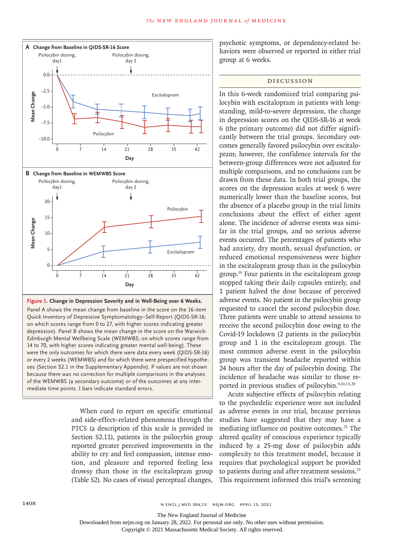

**Figure 1. Change in Depression Severity and in Well-Being over 6 Weeks.**

Panel A shows the mean change from baseline in the score on the 16-item Quick Inventory of Depressive Symptomatology–Self-Report (QIDS-SR-16; on which scores range from 0 to 27, with higher scores indicating greater depression). Panel B shows the mean change in the score on the Warwick-Edinburgh Mental Wellbeing Scale (WEMWBS; on which scores range from 14 to 70, with higher scores indicating greater mental well-being). These were the only outcomes for which there were data every week (QIDS-SR-16) or every 2 weeks (WEMWBS) and for which there were prespecified hypotheses (Section S2.1 in the Supplementary Appendix). P values are not shown because there was no correction for multiple comparisons in the analyses of the WEMWBS (a secondary outcome) or of the outcomes at any inter-

> When cued to report on specific emotional and side-effect–related phenomena through the PTCS (a description of this scale is provided in Section S2.11), patients in the psilocybin group reported greater perceived improvements in the ability to cry and feel compassion, intense emotion, and pleasure and reported feeling less drowsy than those in the escitalopram group (Table S2). No cases of visual perceptual changes,

psychotic symptoms, or dependency-related behaviors were observed or reported in either trial group at 6 weeks.

# Discussion

In this 6-week randomized trial comparing psilocybin with escitalopram in patients with longstanding, mild-to-severe depression, the change in depression scores on the QIDS-SR-16 at week 6 (the primary outcome) did not differ significantly between the trial groups. Secondary outcomes generally favored psilocybin over escitalopram; however, the confidence intervals for the between-group differences were not adjusted for multiple comparisons, and no conclusions can be drawn from these data. In both trial groups, the scores on the depression scales at week 6 were numerically lower than the baseline scores, but the absence of a placebo group in the trial limits conclusions about the effect of either agent alone. The incidence of adverse events was similar in the trial groups, and no serious adverse events occurred. The percentages of patients who had anxiety, dry mouth, sexual dysfunction, or reduced emotional responsiveness were higher in the escitalopram group than in the psilocybin group.19 Four patients in the escitalopram group stopped taking their daily capsules entirely, and 1 patient halved the dose because of perceived adverse events. No patient in the psilocybin group requested to cancel the second psilocybin dose. Three patients were unable to attend sessions to receive the second psilocybin dose owing to the Covid-19 lockdown (2 patients in the psilocybin group and 1 in the escitalopram group). The most common adverse event in the psilocybin group was transient headache reported within 24 hours after the day of psilocybin dosing. The incidence of headache was similar to those reported in previous studies of psilocybin.<sup>9,10,13,20</sup>

Acute subjective effects of psilocybin relating to the psychedelic experience were not included as adverse events in our trial, because previous studies have suggested that they may have a mediating influence on positive outcomes.<sup>21</sup> The altered quality of conscious experience typically induced by a 25-mg dose of psilocybin adds complexity to this treatment model, because it requires that psychological support be provided to patients during and after treatment sessions.15 This requirement informed this trial's screening

The New England Journal of Medicine

Downloaded from nejm.org on January 28, 2022. For personal use only. No other uses without permission.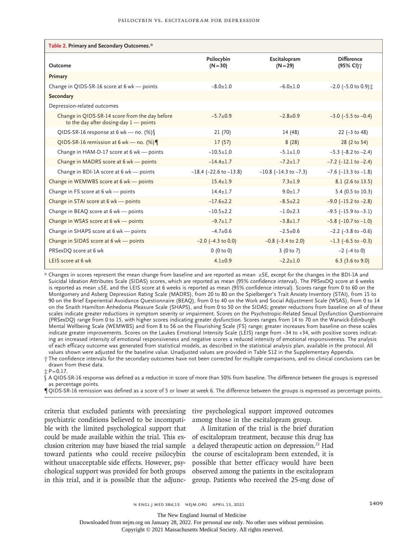| Table 2. Primary and Secondary Outcomes.*                                                  |                                |                               |                                            |  |  |  |  |
|--------------------------------------------------------------------------------------------|--------------------------------|-------------------------------|--------------------------------------------|--|--|--|--|
| Outcome                                                                                    | Psilocybin<br>$(N = 30)$       | Escitalopram<br>$(N = 29)$    | <b>Difference</b><br>(95% CI) <sup>+</sup> |  |  |  |  |
| Primary                                                                                    |                                |                               |                                            |  |  |  |  |
| Change in QIDS-SR-16 score at 6 wk - points                                                | $-8.0 + 1.0$                   | $-6.0 + 1.0$                  | -2.0 (-5.0 to 0.9) <del>立</del>            |  |  |  |  |
| Secondary                                                                                  |                                |                               |                                            |  |  |  |  |
| Depression-related outcomes                                                                |                                |                               |                                            |  |  |  |  |
| Change in QIDS-SR-14 score from the day before<br>to the day after dosing-day $1$ - points | $-5.7+0.9$                     | $-2.8+0.9$                    | $-3.0$ ( $-5.5$ to $-0.4$ )                |  |  |  |  |
| QIDS-SR-16 response at 6 wk - no. $(\%)$                                                   | 21 (70)                        | 14 (48)                       | 22 $(-3 \text{ to } 48)$                   |  |  |  |  |
| QIDS-SR-16 remission at 6 wk - no. $(\%)$                                                  | 17(57)                         | 8(28)                         | 28 (2 to 54)                               |  |  |  |  |
| Change in HAM-D-17 score at 6 wk - points                                                  | $-10.5+1.0$                    | $-5.1 + 1.0$                  | $-5.3$ ( $-8.2$ to $-2.4$ )                |  |  |  |  |
| Change in MADRS score at 6 wk - points                                                     | $-14.4 \pm 1.7$                | $-7.2 + 1.7$                  | $-7.2$ ( $-12.1$ to $-2.4$ )               |  |  |  |  |
| Change in BDI-1A score at 6 wk - points                                                    | $-18.4$ ( $-22.6$ to $-13.8$ ) | $-10.8$ ( $-14.3$ to $-7.3$ ) | $-7.6$ ( $-13.3$ to $-1.8$ )               |  |  |  |  |
| Change in WEMWBS score at 6 wk - points                                                    | $15.4 \pm 1.9$                 | $7.3 + 1.9$                   | 8.1 (2.6 to 13.5)                          |  |  |  |  |
| Change in FS score at 6 wk - points                                                        | $14.4 + 1.7$                   | $9.0 + 1.7$                   | 5.4 (0.5 to 10.3)                          |  |  |  |  |
| Change in STAI score at 6 wk - points                                                      | $-17.6+2.2$                    | $-8.5+2.2$                    | $-9.0$ ( $-15.2$ to $-2.8$ )               |  |  |  |  |
| Change in BEAQ score at 6 wk - points                                                      | $-10.5+2.2$                    | $-1.0+2.3$                    | $-9.5$ ( $-15.9$ to $-3.1$ )               |  |  |  |  |
| Change in WSAS score at 6 wk - points                                                      | $-9.7 \pm 1.7$                 | $-3.8 \pm 1.7$                | $-5.8$ (-10.7 to -1.0)                     |  |  |  |  |
| Change in SHAPS score at 6 wk - points                                                     | $-4.7+0.6$                     | $-2.5+0.6$                    | $-2.2$ ( $-3.8$ to $-0.6$ )                |  |  |  |  |
| Change in SIDAS score at 6 wk - points                                                     | $-2.0$ ( $-4.3$ to 0.0)        | $-0.8$ ( $-3.4$ to 2.0)       | $-1.3$ (-6.5 to $-0.3$ )                   |  |  |  |  |
| PRSexDQ score at 6 wk                                                                      | 0(0 to 0)                      | 3(0 to 7)                     | $-2$ ( $-4$ to 0)                          |  |  |  |  |
| LEIS score at 6 wk                                                                         | $4.1 + 0.9$                    | $-2.2+1.0$                    | 6.3 $(3.6 \text{ to } 9.0)$                |  |  |  |  |

\* Changes in scores represent the mean change from baseline and are reported as mean ±SE, except for the changes in the BDI-1A and Suicidal Ideation Attributes Scale (SIDAS) scores, which are reported as mean (95% confidence interval). The PRSexDQ score at 6 weeks is reported as mean ±SE, and the LEIS score at 6 weeks is reported as mean (95% confidence interval). Scores range from 0 to 60 on the Montgomery and Asberg Depression Rating Scale (MADRS), from 20 to 80 on the Spielberger's Trait Anxiety Inventory (STAI), from 15 to 90 on the Brief Experiential Avoidance Questionnaire (BEAQ), from 0 to 40 on the Work and Social Adjustment Scale (WSAS), from 0 to 14 on the Snaith Hamilton Anhedonia Pleasure Scale (SHAPS), and from 0 to 50 on the SIDAS; greater reductions from baseline on all of these scales indicate greater reductions in symptom severity or impairment. Scores on the Psychotropic-Related Sexual Dysfunction Questionnaire (PRSexDQ) range from 0 to 15, with higher scores indicating greater dysfunction. Scores ranges from 14 to 70 on the Warwick-Edinburgh Mental Wellbeing Scale (WEMWBS) and from 8 to 56 on the Flourishing Scale (FS) range; greater increases from baseline on these scales indicate greater improvements. Scores on the Laukes Emotional Intensity Scale (LEIS) range from −34 to +34, with positive scores indicating an increased intensity of emotional responsiveness and negative scores a reduced intensity of emotional responsiveness. The analysis of each efficacy outcome was generated from statistical models, as described in the statistical analysis plan, available in the protocol. All values shown were adjusted for the baseline value. Unadjusted values are provided in Table S12 in the Supplementary Appendix.

† The confidence intervals for the secondary outcomes have not been corrected for multiple comparisons, and no clinical conclusions can be drawn from these data.

 $\ddot{p} = 0.17$ .

§ A QIDS-SR-16 response was defined as a reduction in score of more than 50% from baseline. The difference between the groups is expressed as percentage points.

¶ QIDS-SR-16 remission was defined as a score of 5 or lower at week 6. The difference between the groups is expressed as percentage points.

criteria that excluded patients with preexisting tive psychological support improved outcomes psychiatric conditions believed to be incompatible with the limited psychological support that could be made available within the trial. This exclusion criterion may have biased the trial sample toward patients who could receive psilocybin without unacceptable side effects. However, psychological support was provided for both groups in this trial, and it is possible that the adjunc-

among those in the escitalopram group.

A limitation of the trial is the brief duration of escitalopram treatment, because this drug has a delayed therapeutic action on depression.22 Had the course of escitalopram been extended, it is possible that better efficacy would have been observed among the patients in the escitalopram group. Patients who received the 25-mg dose of

The New England Journal of Medicine

Downloaded from nejm.org on January 28, 2022. For personal use only. No other uses without permission.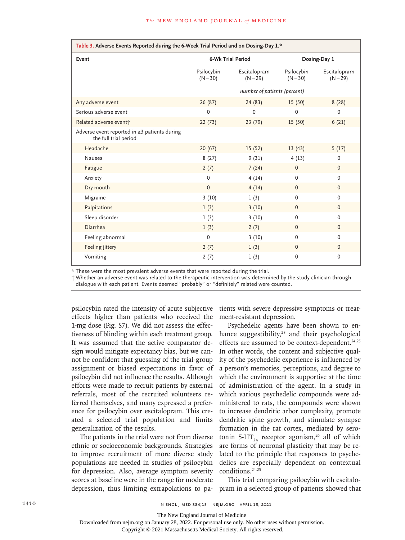| Table 3. Adverse Events Reported during the 6-Week Trial Period and on Dosing-Day 1.* |                              |                            |                          |                            |  |  |
|---------------------------------------------------------------------------------------|------------------------------|----------------------------|--------------------------|----------------------------|--|--|
| Event                                                                                 | 6-Wk Trial Period            |                            | Dosing-Day 1             |                            |  |  |
|                                                                                       | Psilocybin<br>$(N = 30)$     | Escitalopram<br>$(N = 29)$ | Psilocybin<br>$(N = 30)$ | Escitalopram<br>$(N = 29)$ |  |  |
|                                                                                       | number of patients (percent) |                            |                          |                            |  |  |
| Any adverse event                                                                     | 26(87)                       | 24(83)                     | 15(50)                   | 8(28)                      |  |  |
| Serious adverse event                                                                 | 0                            | $\mathbf 0$                | $\mathbf 0$              | 0                          |  |  |
| Related adverse event;                                                                | 22(73)                       | 23(79)                     | 15(50)                   | 6(21)                      |  |  |
| Adverse event reported in $\geq$ 3 patients during<br>the full trial period           |                              |                            |                          |                            |  |  |
| Headache                                                                              | 20(67)                       | 15(52)                     | 13(43)                   | 5(17)                      |  |  |
| Nausea                                                                                | 8(27)                        | 9(31)                      | 4(13)                    | $\mathbf 0$                |  |  |
| Fatigue                                                                               | 2(7)                         | 7(24)                      | $\mathbf{0}$             | $\mathbf{0}$               |  |  |
| Anxiety                                                                               | 0                            | 4(14)                      | $\mathbf 0$              | 0                          |  |  |
| Dry mouth                                                                             | $\Omega$                     | 4(14)                      | $\mathbf{0}$             | $\Omega$                   |  |  |
| Migraine                                                                              | 3(10)                        | 1(3)                       | $\mathbf 0$              | $\mathbf 0$                |  |  |
| Palpitations                                                                          | 1(3)                         | 3(10)                      | $\mathbf{0}$             | $\mathbf{0}$               |  |  |
| Sleep disorder                                                                        | 1(3)                         | 3(10)                      | $\mathbf 0$              | 0                          |  |  |
| Diarrhea                                                                              | 1(3)                         | 2(7)                       | $\mathbf{0}$             | $\mathbf{0}$               |  |  |
| Feeling abnormal                                                                      | 0                            | 3(10)                      | $\mathbf 0$              | $\mathbf 0$                |  |  |
| Feeling jittery                                                                       | 2(7)                         | 1(3)                       | $\mathbf{0}$             | $\Omega$                   |  |  |
| Vomiting                                                                              | 2(7)                         | 1(3)                       | 0                        | 0                          |  |  |

\* These were the most prevalent adverse events that were reported during the trial.

† Whether an adverse event was related to the therapeutic intervention was determined by the study clinician through

dialogue with each patient. Events deemed "probably" or "definitely" related were counted.

psilocybin rated the intensity of acute subjective effects higher than patients who received the 1-mg dose (Fig. S7). We did not assess the effectiveness of blinding within each treatment group. It was assumed that the active comparator design would mitigate expectancy bias, but we cannot be confident that guessing of the trial-group assignment or biased expectations in favor of psilocybin did not influence the results. Although efforts were made to recruit patients by external referrals, most of the recruited volunteers referred themselves, and many expressed a preference for psilocybin over escitalopram. This created a selected trial population and limits generalization of the results.

The patients in the trial were not from diverse ethnic or socioeconomic backgrounds. Strategies to improve recruitment of more diverse study populations are needed in studies of psilocybin for depression. Also, average symptom severity scores at baseline were in the range for moderate depression, thus limiting extrapolations to pa-

tients with severe depressive symptoms or treatment-resistant depression.

Psychedelic agents have been shown to enhance suggestibility,<sup>23</sup> and their psychological effects are assumed to be context-dependent.<sup>24,25</sup> In other words, the content and subjective quality of the psychedelic experience is influenced by a person's memories, perceptions, and degree to which the environment is supportive at the time of administration of the agent. In a study in which various psychedelic compounds were administered to rats, the compounds were shown to increase dendritic arbor complexity, promote dendritic spine growth, and stimulate synapse formation in the rat cortex, mediated by serotonin 5-HT<sub>2A</sub> receptor agonism,<sup>26</sup> all of which are forms of neuronal plasticity that may be related to the principle that responses to psychedelics are especially dependent on contextual conditions.<sup>24,25</sup>

This trial comparing psilocybin with escitalopram in a selected group of patients showed that

The New England Journal of Medicine

Downloaded from nejm.org on January 28, 2022. For personal use only. No other uses without permission.